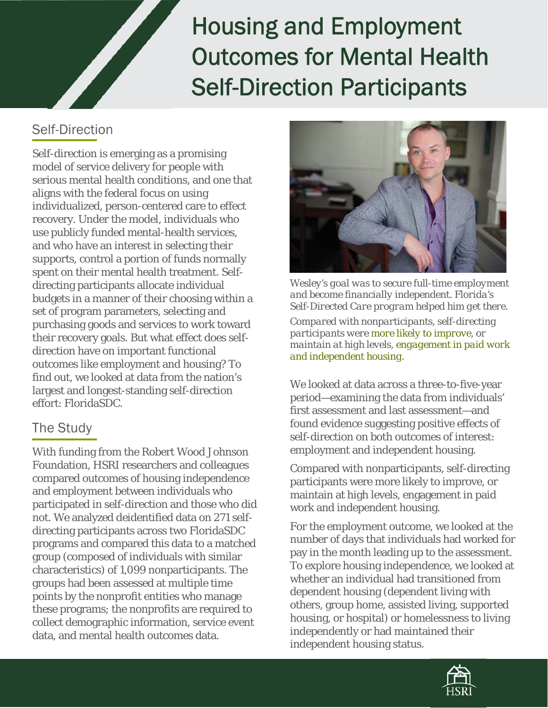# Housing and Employment Outcomes for Mental Health Self-Direction Participants

## Self-Direction

Self-direction is emerging as a promising model of service delivery for people with serious mental health conditions, and one that aligns with the federal focus on using individualized, person-centered care to effect recovery. Under the model, individuals who use publicly funded mental-health services, and who have an interest in selecting their supports, control a portion of funds normally spent on their mental health treatment. Selfdirecting participants allocate individual budgets in a manner of their choosing within a set of program parameters, selecting and purchasing goods and services to work toward their recovery goals. But what effect does selfdirection have on important functional outcomes like employment and housing? To find out, we looked at data from the nation's largest and longest-standing self-direction effort: FloridaSDC.

## The Study

With funding from the Robert Wood Johnson Foundation, HSRI researchers and colleagues compared outcomes of housing independence and employment between individuals who participated in self-direction and those who did not. We analyzed deidentified data on 271 selfdirecting participants across two FloridaSDC programs and compared this data to a matched group (composed of individuals with similar characteristics) of 1,099 nonparticipants. The groups had been assessed at multiple time points by the nonprofit entities who manage these programs; the nonprofits are required to collect demographic information, service event data, and mental health outcomes data.



*Wesley's goal was to secure full-time employment and become financially independent. Florida's Self-Directed Care program helped him get there.* 

*Compared with nonparticipants, self-directing participants were more likely to improve, or maintain at high levels, engagement in paid work and independent housing.* 

We looked at data across a three-to-five-year period—examining the data from individuals' first assessment and last assessment—and found evidence suggesting positive effects of self-direction on both outcomes of interest: employment and independent housing.

Compared with nonparticipants, self-directing participants were more likely to improve, or maintain at high levels, engagement in paid work and independent housing.

For the employment outcome, we looked at the number of days that individuals had worked for pay in the month leading up to the assessment. To explore housing independence, we looked at whether an individual had transitioned from dependent housing (dependent living with others, group home, assisted living, supported housing, or hospital) or homelessness to living independently or had maintained their independent housing status.